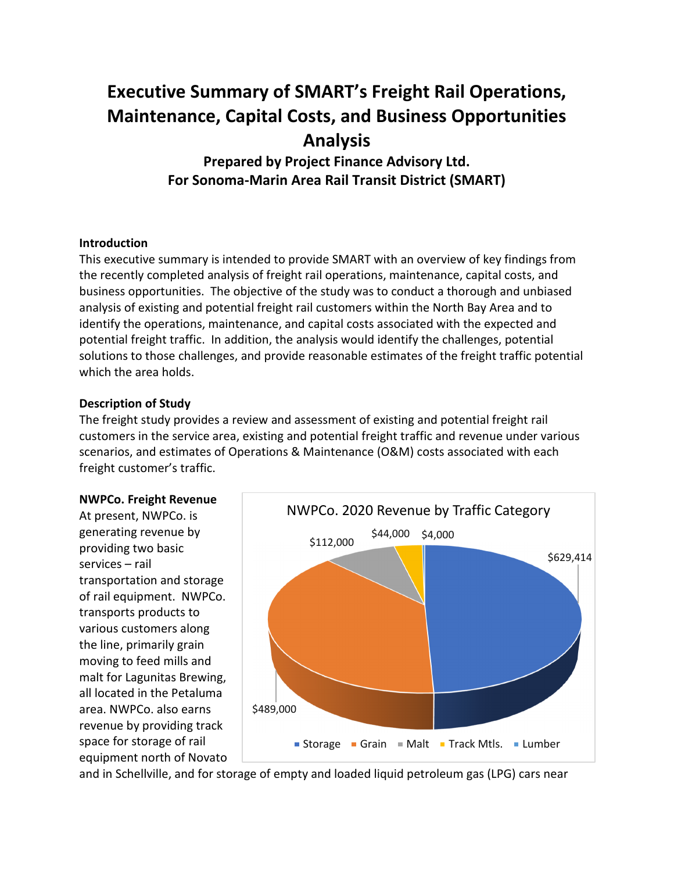# **Executive Summary of SMART's Freight Rail Operations, Maintenance, Capital Costs, and Business Opportunities Analysis**

**Prepared by Project Finance Advisory Ltd. For Sonoma-Marin Area Rail Transit District (SMART)**

## **Introduction**

This executive summary is intended to provide SMART with an overview of key findings from the recently completed analysis of freight rail operations, maintenance, capital costs, and business opportunities. The objective of the study was to conduct a thorough and unbiased analysis of existing and potential freight rail customers within the North Bay Area and to identify the operations, maintenance, and capital costs associated with the expected and potential freight traffic. In addition, the analysis would identify the challenges, potential solutions to those challenges, and provide reasonable estimates of the freight traffic potential which the area holds.

#### **Description of Study**

The freight study provides a review and assessment of existing and potential freight rail customers in the service area, existing and potential freight traffic and revenue under various scenarios, and estimates of Operations & Maintenance (O&M) costs associated with each freight customer's traffic.

#### **NWPCo. Freight Revenue**

At present, NWPCo. is generating revenue by providing two basic services – rail transportation and storage of rail equipment. NWPCo. transports products to various customers along the line, primarily grain moving to feed mills and malt for Lagunitas Brewing, all located in the Petaluma area. NWPCo. also earns revenue by providing track space for storage of rail equipment north of Novato



and in Schellville, and for storage of empty and loaded liquid petroleum gas (LPG) cars near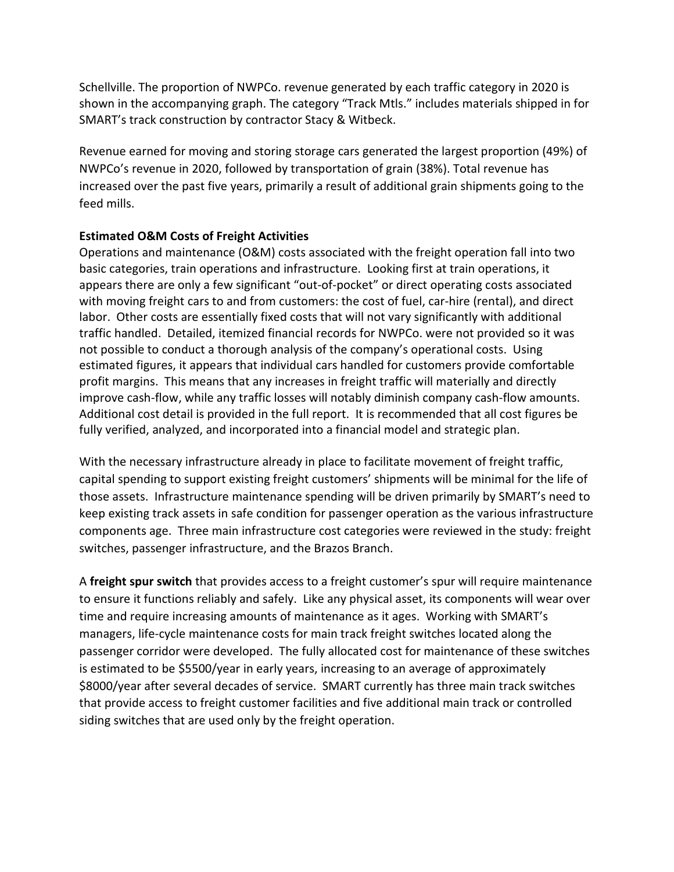Schellville. The proportion of NWPCo. revenue generated by each traffic category in 2020 is shown in the accompanying graph. The category "Track Mtls." includes materials shipped in for SMART's track construction by contractor Stacy & Witbeck.

Revenue earned for moving and storing storage cars generated the largest proportion (49%) of NWPCo's revenue in 2020, followed by transportation of grain (38%). Total revenue has increased over the past five years, primarily a result of additional grain shipments going to the feed mills.

# **Estimated O&M Costs of Freight Activities**

Operations and maintenance (O&M) costs associated with the freight operation fall into two basic categories, train operations and infrastructure. Looking first at train operations, it appears there are only a few significant "out-of-pocket" or direct operating costs associated with moving freight cars to and from customers: the cost of fuel, car-hire (rental), and direct labor. Other costs are essentially fixed costs that will not vary significantly with additional traffic handled. Detailed, itemized financial records for NWPCo. were not provided so it was not possible to conduct a thorough analysis of the company's operational costs. Using estimated figures, it appears that individual cars handled for customers provide comfortable profit margins. This means that any increases in freight traffic will materially and directly improve cash-flow, while any traffic losses will notably diminish company cash-flow amounts. Additional cost detail is provided in the full report. It is recommended that all cost figures be fully verified, analyzed, and incorporated into a financial model and strategic plan.

With the necessary infrastructure already in place to facilitate movement of freight traffic, capital spending to support existing freight customers' shipments will be minimal for the life of those assets. Infrastructure maintenance spending will be driven primarily by SMART's need to keep existing track assets in safe condition for passenger operation as the various infrastructure components age. Three main infrastructure cost categories were reviewed in the study: freight switches, passenger infrastructure, and the Brazos Branch.

A **freight spur switch** that provides access to a freight customer's spur will require maintenance to ensure it functions reliably and safely. Like any physical asset, its components will wear over time and require increasing amounts of maintenance as it ages. Working with SMART's managers, life-cycle maintenance costs for main track freight switches located along the passenger corridor were developed. The fully allocated cost for maintenance of these switches is estimated to be \$5500/year in early years, increasing to an average of approximately \$8000/year after several decades of service. SMART currently has three main track switches that provide access to freight customer facilities and five additional main track or controlled siding switches that are used only by the freight operation.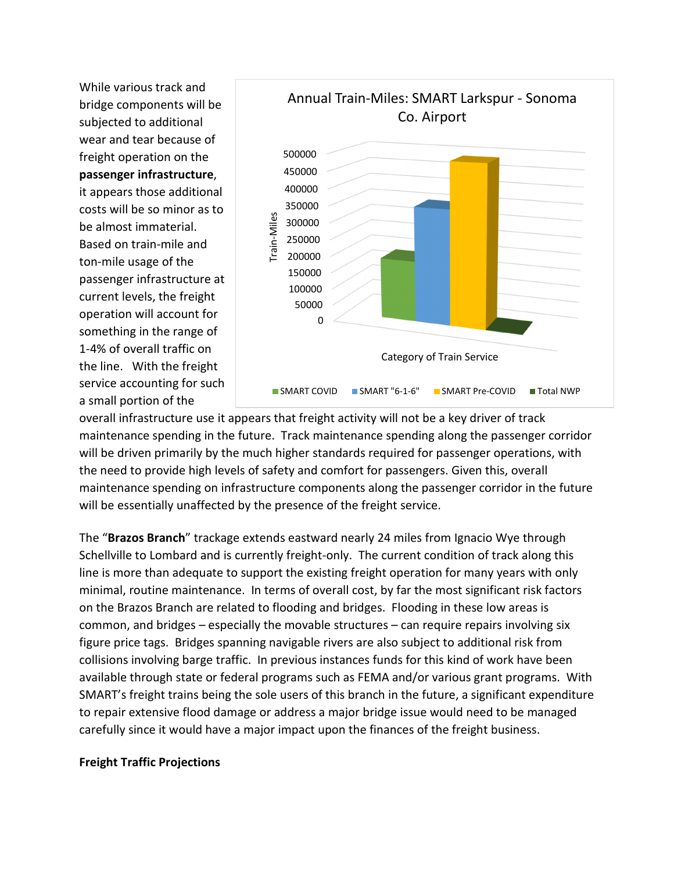While various track and bridge components will be subjected to additional wear and tear because of freight operation on the **passenger infrastructure**, it appears those additional costs will be so minor as to be almost immaterial. Based on train-mile and ton-mile usage of the passenger infrastructure at current levels, the freight operation will account for something in the range of 1-4% of overall traffic on the line. With the freight service accounting for such a small portion of the



overall infrastructure use it appears that freight activity will not be a key driver of track maintenance spending in the future. Track maintenance spending along the passenger corridor will be driven primarily by the much higher standards required for passenger operations, with the need to provide high levels of safety and comfort for passengers. Given this, overall maintenance spending on infrastructure components along the passenger corridor in the future will be essentially unaffected by the presence of the freight service.

The "**Brazos Branch**" trackage extends eastward nearly 24 miles from Ignacio Wye through Schellville to Lombard and is currently freight-only. The current condition of track along this line is more than adequate to support the existing freight operation for many years with only minimal, routine maintenance. In terms of overall cost, by far the most significant risk factors on the Brazos Branch are related to flooding and bridges. Flooding in these low areas is common, and bridges – especially the movable structures – can require repairs involving six figure price tags. Bridges spanning navigable rivers are also subject to additional risk from collisions involving barge traffic. In previous instances funds for this kind of work have been available through state or federal programs such as FEMA and/or various grant programs. With SMART's freight trains being the sole users of this branch in the future, a significant expenditure to repair extensive flood damage or address a major bridge issue would need to be managed carefully since it would have a major impact upon the finances of the freight business.

## **Freight Traffic Projections**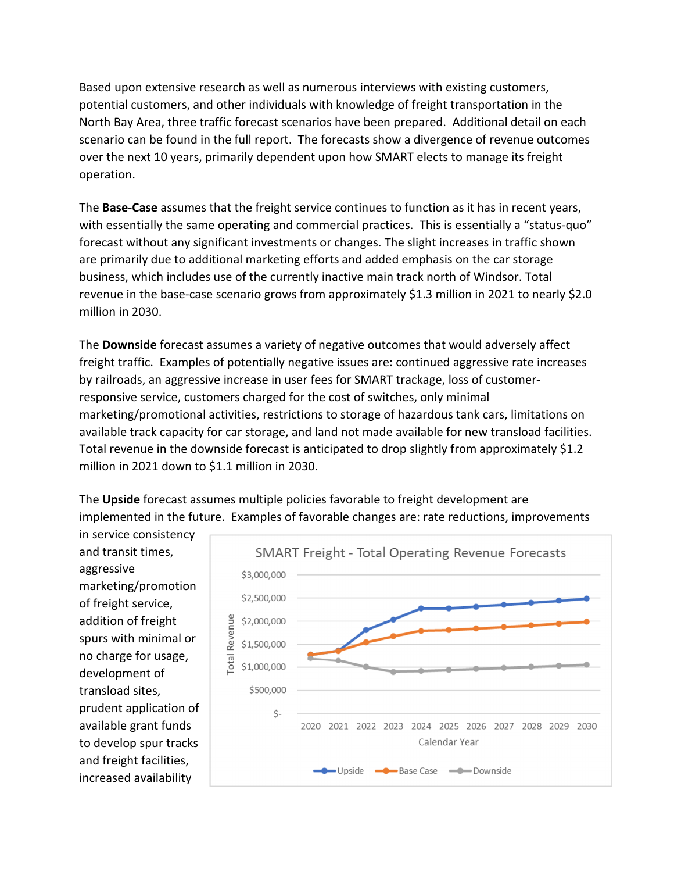Based upon extensive research as well as numerous interviews with existing customers, potential customers, and other individuals with knowledge of freight transportation in the North Bay Area, three traffic forecast scenarios have been prepared. Additional detail on each scenario can be found in the full report. The forecasts show a divergence of revenue outcomes over the next 10 years, primarily dependent upon how SMART elects to manage its freight operation.

The **Base-Case** assumes that the freight service continues to function as it has in recent years, with essentially the same operating and commercial practices. This is essentially a "status-quo" forecast without any significant investments or changes. The slight increases in traffic shown are primarily due to additional marketing efforts and added emphasis on the car storage business, which includes use of the currently inactive main track north of Windsor. Total revenue in the base-case scenario grows from approximately \$1.3 million in 2021 to nearly \$2.0 million in 2030.

The **Downside** forecast assumes a variety of negative outcomes that would adversely affect freight traffic. Examples of potentially negative issues are: continued aggressive rate increases by railroads, an aggressive increase in user fees for SMART trackage, loss of customerresponsive service, customers charged for the cost of switches, only minimal marketing/promotional activities, restrictions to storage of hazardous tank cars, limitations on available track capacity for car storage, and land not made available for new transload facilities. Total revenue in the downside forecast is anticipated to drop slightly from approximately \$1.2 million in 2021 down to \$1.1 million in 2030.

The **Upside** forecast assumes multiple policies favorable to freight development are implemented in the future. Examples of favorable changes are: rate reductions, improvements

in service consistency and transit times, aggressive marketing/promotion of freight service, addition of freight spurs with minimal or no charge for usage, development of transload sites, prudent application of available grant funds to develop spur tracks and freight facilities, increased availability